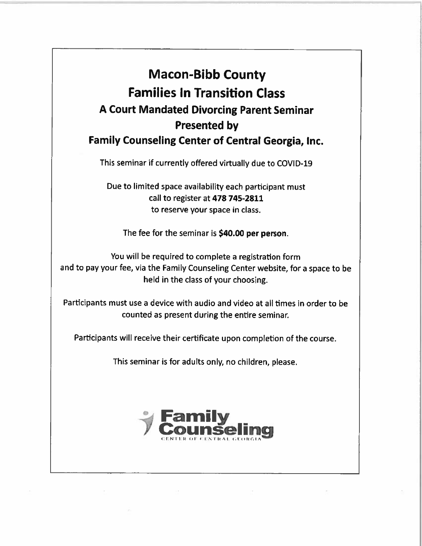## Macon-Bibb County Families In Transition Class <sup>A</sup> Court Mandated Divorcing Parent Seminar Presented by Family Counseling Center of Central Georgia, Inc.

This seminar if currently offered virtually due to COVID-19

Due to limited space availability each participant must call to register at 478 745-2811 to reserve your space in class.

The fee for the seminar is \$40.00 per person.

You will be required to complete a registration form and to pay your fee, via the Family Counseling Center website, for <sup>a</sup> space to be held in the class of your choosing.

Participants must use <sup>a</sup> device with audio and video at all times in order to be counted as present during the entire seminar.

Participants will receive their certificate upon completion of the course.

This seminar is for adults only, no children, <sup>p</sup>lease.